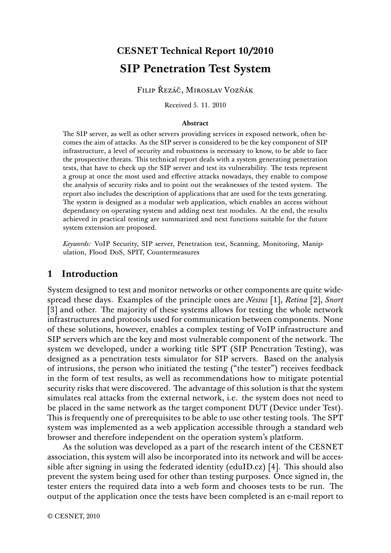# **CESNET Technical Report 10/2010 SIP Penetration Test System**

FILIP ŘEZÁČ, MIROSLAV VOZŇÁK

Received 5. 11. 2010

#### **Abstract**

The SIP server, as well as other servers providing services in exposed network, often becomes the aim of attacks. As the SIP server is considered to be the key component of SIP infrastructure, a level of security and robustness is necessary to know, to be able to face the prospective threats. This technical report deals with a system generating penetration tests, that have to check up the SIP server and test its vulnerability. The tests represent a group at once the most used and effective attacks nowadays, they enable to compose the analysis of security risks and to point out the weaknesses of the tested system. The report also includes the description of applications that are used for the tests generating. The system is designed as a modular web application, which enables an access without dependancy on operating system and adding next test modules. At the end, the results achieved in practical testing are summarized and next functions suitable for the future system extension are proposed.

*Keywords:* VoIP Security, SIP server, Penetration test, Scanning, Monitoring, Manipulation, Flood DoS, SPIT, Countermeasures

### **1 Introduction**

System designed to test and monitor networks or other components are quite widespread these days. Examples of the principle ones are *Nessus* [1], *Retina* [2], *Snort* [3] and other. The majority of these systems allows for testing the whole network infrastructures and protocols used for communication between components. None of these solutions, however, enables a complex testing of VoIP infrastructure and SIP servers which are the key and most vulnerable component of the network. The system we developed, under a working title SPT (SIP Penetration Testing), was designed as a penetration tests simulator for SIP servers. Based on the analysis of intrusions, the person who initiated the testing ("the tester") receives feedback in the form of test results, as well as recommendations how to mitigate potential security risks that were discovered. The advantage of this solution is that the system simulates real attacks from the external network, i.e. the system does not need to be placed in the same network as the target component DUT (Device under Test). This is frequently one of prerequisites to be able to use other testing tools. The SPT system was implemented as a web application accessible through a standard web browser and therefore independent on the operation system's platform.

As the solution was developed as a part of the research intent of the CESNET association, this system will also be incorporated into its network and will be accessible after signing in using the federated identity (eduID.cz) [4]. This should also prevent the system being used for other than testing purposes. Once signed in, the tester enters the required data into a web form and chooses tests to be run. The output of the application once the tests have been completed is an e-mail report to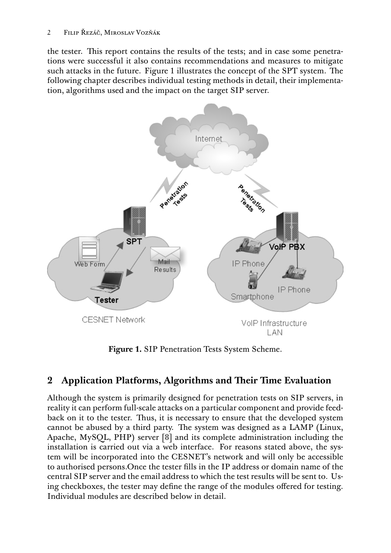the tester. This report contains the results of the tests; and in case some penetrations were successful it also contains recommendations and measures to mitigate such attacks in the future. Figure 1 illustrates the concept of the SPT system. The following chapter describes individual testing methods in detail, their implementation, algorithms used and the impact on the target SIP server.



**Figure 1.** SIP Penetration Tests System Scheme.

# **2** Application Platforms, Algorithms and Their Time Evaluation

Although the system is primarily designed for penetration tests on SIP servers, in reality it can perform full-scale attacks on a particular component and provide feedback on it to the tester. Thus, it is necessary to ensure that the developed system cannot be abused by a third party. The system was designed as a LAMP (Linux, Apache, MySQL, PHP) server [8] and its complete administration including the installation is carried out via a web interface. For reasons stated above, the system will be incorporated into the CESNET's network and will only be accessible to authorised persons.Once the tester fills in the IP address or domain name of the central SIP server and the email address to which the test results will be sent to. Using checkboxes, the tester may define the range of the modules offered for testing. Individual modules are described below in detail.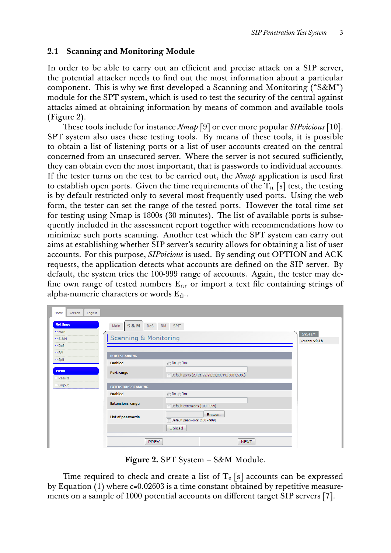#### **2.1 Scanning and Monitoring Module**

In order to be able to carry out an efficient and precise attack on a SIP server, the potential attacker needs to find out the most information about a particular component. This is why we first developed a Scanning and Monitoring ("S&M") module for the SPT system, which is used to test the security of the central against attacks aimed at obtaining information by means of common and available tools (Figure 2).

These tools include for instance *Nmap* [9] or ever more popular *SIPvicious* [10]. SPT system also uses these testing tools. By means of these tools, it is possible to obtain a list of listening ports or a list of user accounts created on the central concerned from an unsecured server. Where the server is not secured sufficiently, they can obtain even the most important, that is passwords to individual accounts. If the tester turns on the test to be carried out, the *Nmap* application is used first to establish open ports. Given the time requirements of the  $T_n$  |s| test, the testing is by default restricted only to several most frequently used ports. Using the web form, the tester can set the range of the tested ports. However the total time set for testing using Nmap is 1800s (30 minutes). The list of available ports is subsequently included in the assessment report together with recommendations how to minimize such ports scanning. Another test which the SPT system can carry out aims at establishing whether SIP server's security allows for obtaining a list of user accounts. For this purpose, *SIPvicious* is used. By sending out OPTION and ACK requests, the application detects what accounts are defined on the SIP server. By default, the system tries the 100-999 range of accounts. Again, the tester may define own range of tested numbers  $E_{nr}$  or import a text file containing strings of alpha-numeric characters or words  $E_{dr}$ .

| Home<br>Logout<br>Version                                                                             |                                                                    |                                                                       |  |  |  |  |  |
|-------------------------------------------------------------------------------------------------------|--------------------------------------------------------------------|-----------------------------------------------------------------------|--|--|--|--|--|
| <b>Settings</b><br>$\rightarrow$ Main<br>$\rightarrow$ S & M<br>$\rightarrow$ DoS<br>$\rightarrow$ RM | <b>S&amp;M</b><br>Do <sub>S</sub><br>Main<br>Scanning & Monitoring | RM SPIT<br><b>SYSTEM</b><br>Version: v0.1b                            |  |  |  |  |  |
| $\rightarrow$ Spit                                                                                    | <b>PORT SCANNING</b>                                               |                                                                       |  |  |  |  |  |
| <b>Menu</b><br>$\rightarrow$ Results                                                                  | <b>Enabled</b><br>Port range                                       | ∩ No ∩ Yes<br>Default ports (20, 21, 22, 23, 53, 80, 443, 5004, 5060) |  |  |  |  |  |
| - Logout                                                                                              | <b>EXTENSIONS SCANNING</b>                                         |                                                                       |  |  |  |  |  |
|                                                                                                       | <b>Enabled</b><br>in ⊙Yes                                          |                                                                       |  |  |  |  |  |
|                                                                                                       | <b>Extensions range</b>                                            | Default extensions (100 - 999)                                        |  |  |  |  |  |
|                                                                                                       | List of passwords                                                  | Browse<br>Default passwords (100 - 999)                               |  |  |  |  |  |
|                                                                                                       | Upload                                                             |                                                                       |  |  |  |  |  |
|                                                                                                       |                                                                    | <b>PREV</b><br><b>NEXT</b>                                            |  |  |  |  |  |

**Figure 2.** SPT System – S&M Module.

Time required to check and create a list of  $T_e$  [s] accounts can be expressed by Equation (1) where c=0.02603 is a time constant obtained by repetitive measurements on a sample of 1000 potential accounts on different target SIP servers [7].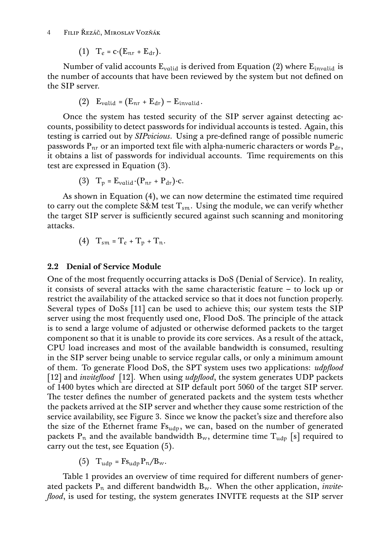4 FILIP ŘEZÁČ, MIROSLAV VOZŇÁK

(1) 
$$
T_e = c \cdot (E_{nr} + E_{dr}).
$$

Number of valid accounts  $E_{valid}$  is derived from Equation (2) where  $E_{invalid}$  is the number of accounts that have been reviewed by the system but not defined on the SIP server.

(2) 
$$
E_{\text{valid}} = (E_{nr} + E_{dr}) - E_{\text{invalid}}
$$
.

Once the system has tested security of the SIP server against detecting accounts, possibility to detect passwords for individual accounts is tested. Again, this testing is carried out by *SIPvicious*. Using a pre-defined range of possible numeric passwords  $P_{nr}$  or an imported text file with alpha-numeric characters or words  $P_{dr}$ , it obtains a list of passwords for individual accounts. Time requirements on this test are expressed in Equation (3).

(3) 
$$
T_p = E_{valid} \cdot (P_{nr} + P_{dr}) \cdot c
$$
.

As shown in Equation (4), we can now determine the estimated time required to carry out the complete S&M test  $T_{\text{sm}}$ . Using the module, we can verify whether the target SIP server is sufficiently secured against such scanning and monitoring attacks.

(4) 
$$
T_{sm} = T_e + T_p + T_n
$$
.

#### **2.2 Denial of Service Module**

One of the most frequently occurring attacks is DoS (Denial of Service). In reality, it consists of several attacks with the same characteristic feature – to lock up or restrict the availability of the attacked service so that it does not function properly. Several types of DoSs [11] can be used to achieve this; our system tests the SIP server using the most frequently used one, Flood DoS. The principle of the attack is to send a large volume of adjusted or otherwise deformed packets to the target component so that it is unable to provide its core services. As a result of the attack, CPU load increases and most of the available bandwidth is consumed, resulting in the SIP server being unable to service regular calls, or only a minimum amount of them. To generate Flood DoS, the SPT system uses two applications: *udpflood* [12] and *inviteflood* [12]. When using *udpflood*, the system generates UDP packets of 1400 bytes which are directed at SIP default port 5060 of the target SIP server. The tester defines the number of generated packets and the system tests whether the packets arrived at the SIP server and whether they cause some restriction of the service availability, see Figure 3. Since we know the packet's size and therefore also the size of the Ethernet frame  $F_{\text{Sudy}}$ , we can, based on the number of generated packets  $P_n$  and the available bandwidth  $B_w$ , determine time  $T_{udp}$  [s] required to carry out the test, see Equation (5).

(5) 
$$
T_{\mu dp} = Fs_{\mu dp} P_n / B_w.
$$

Table 1 provides an overview of time required for different numbers of generated packets  $P_n$  and different bandwidth  $B_w$ . When the other application, *inviteflood*, is used for testing, the system generates INVITE requests at the SIP server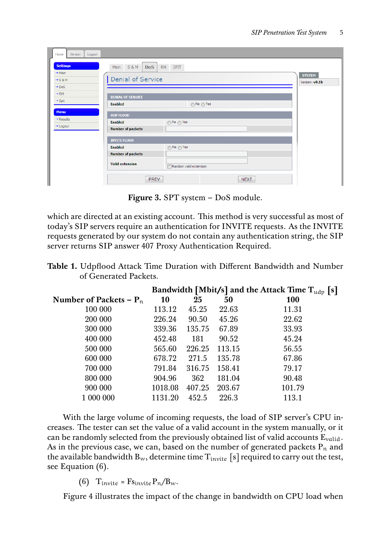| Home<br>Version<br>Logout                                                                                                                                           |                                                                                                                                                                |                                 |
|---------------------------------------------------------------------------------------------------------------------------------------------------------------------|----------------------------------------------------------------------------------------------------------------------------------------------------------------|---------------------------------|
| <b>Settings</b><br>$\rightarrow$ Main<br>$\rightarrow$ S & M<br>$\rightarrow$ DoS<br>$\rightarrow$ RM<br>$\rightarrow$ Spit<br><b>Menu</b><br>$\rightarrow$ Results | <b>S&amp;M</b><br><b>DoS</b><br><b>SPIT</b><br>Main<br>RM<br>Denial of Service<br><b>DENIAL OF SERVICE</b><br><b>Enabled</b><br>∩ No ∩ Yes<br><b>UDP FLOOD</b> | <b>SYSTEM</b><br>Version: v0.1b |
| - Logout                                                                                                                                                            | <b>Enabled</b><br>in ⊙Yes<br><b>Number of packets</b>                                                                                                          |                                 |
|                                                                                                                                                                     | <b>INVITE FLOOD</b><br>Enabled<br>∩ No ∧ Yes<br><b>Number of packets</b><br><b>Valid extension</b><br>Random valid extension<br><b>PREV</b><br><b>NEXT</b>     |                                 |

**Figure 3.** SPT system – DoS module.

which are directed at an existing account. This method is very successful as most of today's SIP servers require an authentication for INVITE requests. As the INVITE requests generated by our system do not contain any authentication string, the SIP server returns SIP answer 407 Proxy Authentication Required.

| <b>Table 1.</b> Udpflood Attack Time Duration with Different Bandwidth and Number |  |  |
|-----------------------------------------------------------------------------------|--|--|
| of Generated Packets.                                                             |  |  |

|                           | Bandwidth [Mbit/s] and the Attack Time $T_{\text{udp}}$ [s] |        |        |            |
|---------------------------|-------------------------------------------------------------|--------|--------|------------|
| Number of Packets – $P_n$ | 10                                                          | 25     | 50     | <b>100</b> |
| 100 000                   | 113.12                                                      | 45.25  | 22.63  | 11.31      |
| 200 000                   | 226.24                                                      | 90.50  | 45.26  | 22.62      |
| 300 000                   | 339.36                                                      | 135.75 | 67.89  | 33.93      |
| 400 000                   | 452.48                                                      | 181    | 90.52  | 45.24      |
| 500 000                   | 565.60                                                      | 226.25 | 113.15 | 56.55      |
| 600 000                   | 678.72                                                      | 271.5  | 135.78 | 67.86      |
| 700 000                   | 791.84                                                      | 316.75 | 158.41 | 79.17      |
| 800 000                   | 904.96                                                      | 362    | 181.04 | 90.48      |
| 900 000                   | 1018.08                                                     | 407.25 | 203.67 | 101.79     |
| 1 000 000                 | 1131.20                                                     | 452.5  | 226.3  | 113.1      |

With the large volume of incoming requests, the load of SIP server's CPU increases. The tester can set the value of a valid account in the system manually, or it can be randomly selected from the previously obtained list of valid accounts  $E_{valid}$ . As in the previous case, we can, based on the number of generated packets  $P_n$  and the available bandwidth  $B_w$ , determine time  $T_{\text{invite}}$  [s] required to carry out the test, see Equation (6).

(6) T<sub>invite</sub> = Fs<sub>invite</sub> 
$$
P_n/B_w
$$
.

Figure 4 illustrates the impact of the change in bandwidth on CPU load when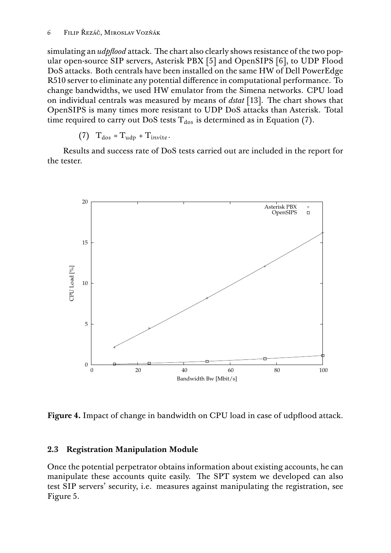simulating an *udpflood* attack. The chart also clearly shows resistance of the two popular open-source SIP servers, Asterisk PBX [5] and OpenSIPS [6], to UDP Flood DoS attacks. Both centrals have been installed on the same HW of Dell PowerEdge R510 server to eliminate any potential difference in computational performance. To change bandwidths, we used HW emulator from the Simena networks. CPU load on individual centrals was measured by means of *dstat* [13]. The chart shows that OpenSIPS is many times more resistant to UDP DoS attacks than Asterisk. Total time required to carry out DoS tests  $T_{dos}$  is determined as in Equation (7).

(7) 
$$
T_{\text{dos}} = T_{\text{udp}} + T_{\text{invite}}
$$

Results and success rate of DoS tests carried out are included in the report for the tester.



**Figure 4.** Impact of change in bandwidth on CPU load in case of udpflood attack.

### **2.3 Registration Manipulation Module**

Once the potential perpetrator obtains information about existing accounts, he can manipulate these accounts quite easily. The SPT system we developed can also test SIP servers' security, i.e. measures against manipulating the registration, see Figure 5.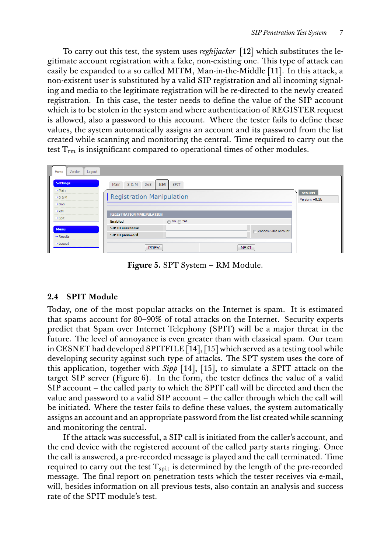To carry out this test, the system uses *reghijacker* [12] which substitutes the legitimate account registration with a fake, non-existing one. This type of attack can easily be expanded to a so called MITM, Man-in-the-Middle [11]. In this attack, a non-existent user is substituted by a valid SIP registration and all incoming signaling and media to the legitimate registration will be re-directed to the newly created registration. In this case, the tester needs to define the value of the SIP account which is to be stolen in the system and where authentication of REGISTER request is allowed, also a password to this account. Where the tester fails to define these values, the system automatically assigns an account and its password from the list created while scanning and monitoring the central. Time required to carry out the test  $T_{rm r}$  is insignificant compared to operational times of other modules.

| Home<br>Logout<br>Version                 |                                                                          |                                 |
|-------------------------------------------|--------------------------------------------------------------------------|---------------------------------|
| <b>Settings</b>                           | <b>RM</b><br><b>S&amp;M</b><br>Do <sub>S</sub><br>Main<br><b>SPIT</b>    |                                 |
| $\rightarrow$ Main<br>$\rightarrow$ S & M | <b>Registration Manipulation</b>                                         | <b>SYSTEM</b><br>Version: v0.1b |
| $\rightarrow$ DoS<br>$\rightarrow$ RM     |                                                                          |                                 |
| $\rightarrow$ Spit                        | <b>REGISTRATION MANIPULATION</b><br><b>Enabled</b><br>∩ No ∩ Yes         |                                 |
| <b>Menu</b><br>$\rightarrow$ Results      | <b>SIP ID username</b><br>Random valid account<br><b>SIP ID password</b> |                                 |
| → Logout                                  | <b>PREV</b><br><b>NEXT</b>                                               |                                 |

**Figure 5.** SPT System – RM Module.

# **2.4 SPIT Module**

Today, one of the most popular attacks on the Internet is spam. It is estimated that spams account for 80–90% of total attacks on the Internet. Security experts predict that Spam over Internet Telephony (SPIT) will be a major threat in the future. The level of annoyance is even greater than with classical spam. Our team in CESNET had developed SPITFILE [14], [15] which served as a testing tool while developing security against such type of attacks. The SPT system uses the core of this application, together with *Sipp* [14], [15], to simulate a SPIT attack on the target SIP server (Figure 6). In the form, the tester defines the value of a valid SIP account – the called party to which the SPIT call will be directed and then the value and password to a valid SIP account – the caller through which the call will be initiated. Where the tester fails to define these values, the system automatically assigns an account and an appropriate password from the list created while scanning and monitoring the central.

If the attack was successful, a SIP call is initiated from the caller's account, and the end device with the registered account of the called party starts ringing. Once the call is answered, a pre-recorded message is played and the call terminated. Time required to carry out the test  $T_{\text{snit}}$  is determined by the length of the pre-recorded message. The final report on penetration tests which the tester receives via e-mail, will, besides information on all previous tests, also contain an analysis and success rate of the SPIT module's test.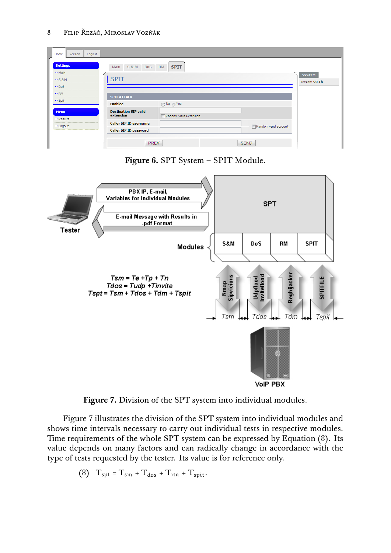#### 8 FILIP ŘEZÁČ, MIROSLAV VOZŇÁK



**Figure 7.** Division of the SPT system into individual modules.

Figure 7 illustrates the division of the SPT system into individual modules and shows time intervals necessary to carry out individual tests in respective modules. Time requirements of the whole SPT system can be expressed by Equation (8). Its value depends on many factors and can radically change in accordance with the type of tests requested by the tester. Its value is for reference only.

$$
(8) Tspt = Tsm + Tdos + Trm + Tspit.
$$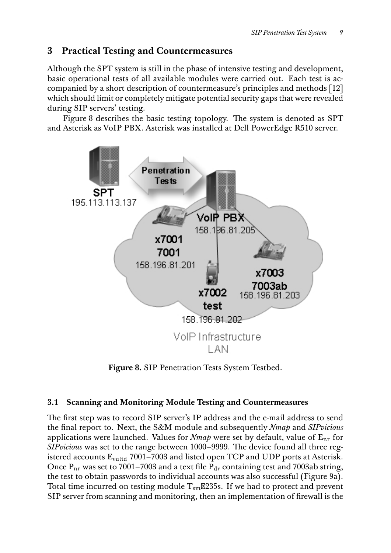# **3 Practical Testing and Countermeasures**

Although the SPT system is still in the phase of intensive testing and development, basic operational tests of all available modules were carried out. Each test is accompanied by a short description of countermeasure's principles and methods [12] which should limit or completely mitigate potential security gaps that were revealed during SIP servers' testing.

Figure 8 describes the basic testing topology. The system is denoted as SPT and Asterisk as VoIP PBX. Asterisk was installed at Dell PowerEdge R510 server.



**Figure 8.** SIP Penetration Tests System Testbed.

# **3.1 Scanning and Monitoring Module Testing and Countermeasures**

The first step was to record SIP server's IP address and the e-mail address to send the final report to. Next, the S&M module and subsequently *Nmap* and *SIPvicious* applications were launched. Values for *Nmap* were set by default, value of Enr for *SIPvicious* was set to the range between 1000–9999. The device found all three registered accounts  $E_{valid}$  7001–7003 and listed open TCP and UDP ports at Asterisk. Once  $P_{nr}$  was set to 7001–7003 and a text file  $P_{dr}$  containing test and 7003ab string, the test to obtain passwords to individual accounts was also successful (Figure 9a). Total time incurred on testing module  $T_{\text{sm}}$ 235s. If we had to protect and prevent SIP server from scanning and monitoring, then an implementation of firewall is the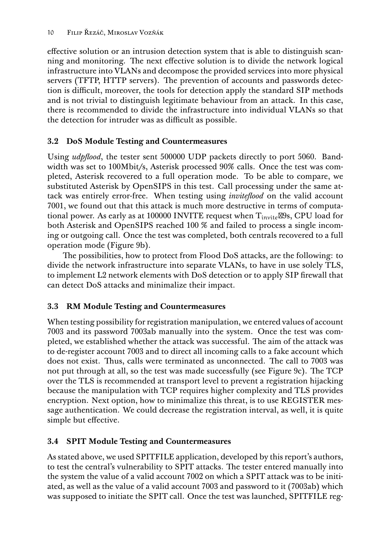effective solution or an intrusion detection system that is able to distinguish scanning and monitoring. The next effective solution is to divide the network logical infrastructure into VLANs and decompose the provided services into more physical servers (TFTP, HTTP servers). The prevention of accounts and passwords detection is difficult, moreover, the tools for detection apply the standard SIP methods and is not trivial to distinguish legitimate behaviour from an attack. In this case, there is recommended to divide the infrastructure into individual VLANs so that the detection for intruder was as difficult as possible.

# **3.2 DoS Module Testing and Countermeasures**

Using *udpflood*, the tester sent 500000 UDP packets directly to port 5060. Bandwidth was set to 100Mbit/s, Asterisk processed 90% calls. Once the test was completed, Asterisk recovered to a full operation mode. To be able to compare, we substituted Asterisk by OpenSIPS in this test. Call processing under the same attack was entirely error-free. When testing using *inviteflood* on the valid account 7001, we found out that this attack is much more destructive in terms of computational power. As early as at 100000 INVITE request when  $T_{\text{invite}}$  29s, CPU load for both Asterisk and OpenSIPS reached 100 % and failed to process a single incoming or outgoing call. Once the test was completed, both centrals recovered to a full operation mode (Figure 9b).

The possibilities, how to protect from Flood DoS attacks, are the following: to divide the network infrastructure into separate VLANs, to have in use solely TLS, to implement L2 network elements with DoS detection or to apply SIP firewall that can detect DoS attacks and minimalize their impact.

# **3.3 RM Module Testing and Countermeasures**

When testing possibility for registration manipulation, we entered values of account 7003 and its password 7003ab manually into the system. Once the test was completed, we established whether the attack was successful. The aim of the attack was to de-register account 7003 and to direct all incoming calls to a fake account which does not exist. Thus, calls were terminated as unconnected. The call to 7003 was not put through at all, so the test was made successfully (see Figure 9c). The TCP over the TLS is recommended at transport level to prevent a registration hijacking because the manipulation with TCP requires higher complexity and TLS provides encryption. Next option, how to minimalize this threat, is to use REGISTER message authentication. We could decrease the registration interval, as well, it is quite simple but effective.

# **3.4 SPIT Module Testing and Countermeasures**

As stated above, we used SPITFILE application, developed by this report's authors, to test the central's vulnerability to SPIT attacks. The tester entered manually into the system the value of a valid account 7002 on which a SPIT attack was to be initiated, as well as the value of a valid account 7003 and password to it (7003ab) which was supposed to initiate the SPIT call. Once the test was launched, SPITFILE reg-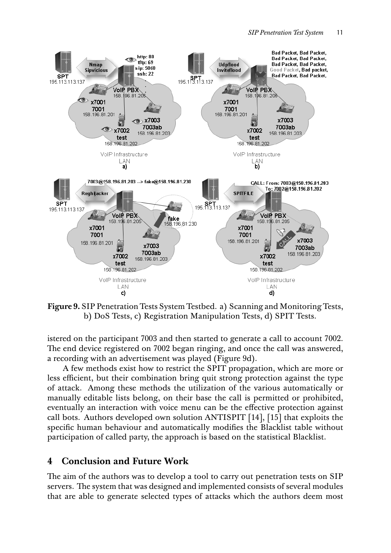

**Figure 9.** SIP Penetration Tests System Testbed. a) Scanning and Monitoring Tests, b) DoS Tests, c) Registration Manipulation Tests, d) SPIT Tests.

istered on the participant 7003 and then started to generate a call to account 7002. The end device registered on 7002 began ringing, and once the call was answered, a recording with an advertisement was played (Figure 9d).

A few methods exist how to restrict the SPIT propagation, which are more or less efficient, but their combination bring quit strong protection against the type of attack. Among these methods the utilization of the various automatically or manually editable lists belong, on their base the call is permitted or prohibited, eventually an interaction with voice menu can be the effective protection against call bots. Authors developed own solution ANTISPIT [14], [15] that exploits the specific human behaviour and automatically modifies the Blacklist table without participation of called party, the approach is based on the statistical Blacklist.

### **4 Conclusion and Future Work**

The aim of the authors was to develop a tool to carry out penetration tests on SIP servers. The system that was designed and implemented consists of several modules that are able to generate selected types of attacks which the authors deem most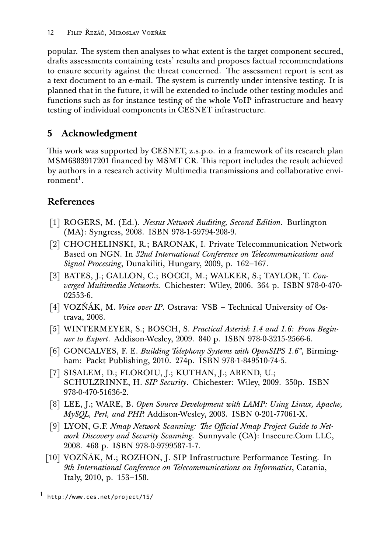popular. The system then analyses to what extent is the target component secured, drafts assessments containing tests' results and proposes factual recommendations to ensure security against the threat concerned. The assessment report is sent as a text document to an e-mail. The system is currently under intensive testing. It is planned that in the future, it will be extended to include other testing modules and functions such as for instance testing of the whole VoIP infrastructure and heavy testing of individual components in CESNET infrastructure.

# **5 Acknowledgment**

This work was supported by CESNET, z.s.p.o. in a framework of its research plan MSM6383917201 financed by MSMT CR. This report includes the result achieved by authors in a research activity Multimedia transmissions and collaborative environment<sup>1</sup>.

# **References**

- [1] ROGERS, M. (Ed.). *Nessus Network Auditing, Second Edition.* Burlington (MA): Syngress, 2008. ISBN 978-1-59794-208-9.
- [2] CHOCHELINSKI, R.; BARONAK, I. Private Telecommunication Network Based on NGN. In *32nd International Conference on Telecommunications and Signal Processing*, Dunakiliti, Hungary, 2009, p. 162–167.
- [3] BATES, J.; GALLON, C.; BOCCI, M.; WALKER, S.; TAYLOR, T. *Converged Multimedia Networks.* Chichester: Wiley, 2006. 364 p. ISBN 978-0-470- 02553-6.
- [4] VOZŇÁK, M. *Voice over IP*. Ostrava: VSB Technical University of Ostrava, 2008.
- [5] WINTERMEYER, S.; BOSCH, S. *Practical Asterisk 1.4 and 1.6: From Beginner to Expert*. Addison-Wesley, 2009. 840 p. ISBN 978-0-3215-2566-6.
- [6] GONCALVES, F. E. *Building Telephony Systems with OpenSIPS 1.6"*, Birmingham: Packt Publishing, 2010. 274p. ISBN 978-1-849510-74-5.
- [7] SISALEM, D.; FLOROIU, J.; KUTHAN, J.; ABEND, U.; SCHULZRINNE, H. *SIP Security*. Chichester: Wiley, 2009. 350p. ISBN 978-0-470-51636-2.
- [8] LEE, J.; WARE, B. *Open Source Development with LAMP: Using Linux, Apache, MySQL, Perl, and PHP.* Addison-Wesley, 2003. ISBN 0-201-77061-X.
- [9] LYON, G.F. *Nmap Network Scanning: The Official Nmap Project Guide to Network Discovery and Security Scanning.* Sunnyvale (CA): Insecure.Com LLC, 2008. 468 p. ISBN 978-0-9799587-1-7.
- [10] VOZŇÁK, M.; ROZHON, J. SIP Infrastructure Performance Testing. In *9th International Conference on Telecommunications an Informatics*, Catania, Italy, 2010, p. 153–158.

<sup>1</sup> http://www.ces.net/project/15/